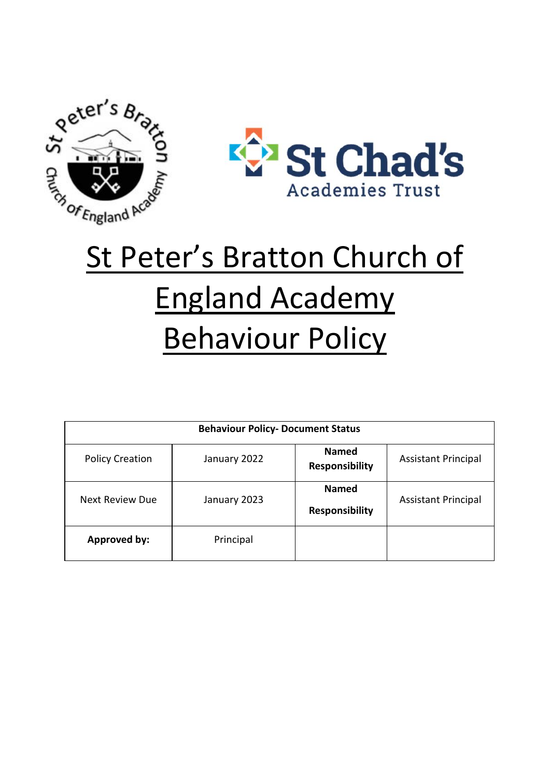



# St Peter's Bratton Church of England Academy Behaviour Policy

| <b>Behaviour Policy- Document Status</b> |              |                                       |                            |
|------------------------------------------|--------------|---------------------------------------|----------------------------|
| <b>Policy Creation</b>                   | January 2022 | <b>Named</b><br><b>Responsibility</b> | <b>Assistant Principal</b> |
| Next Review Due                          | January 2023 | <b>Named</b><br><b>Responsibility</b> | <b>Assistant Principal</b> |
| Approved by:                             | Principal    |                                       |                            |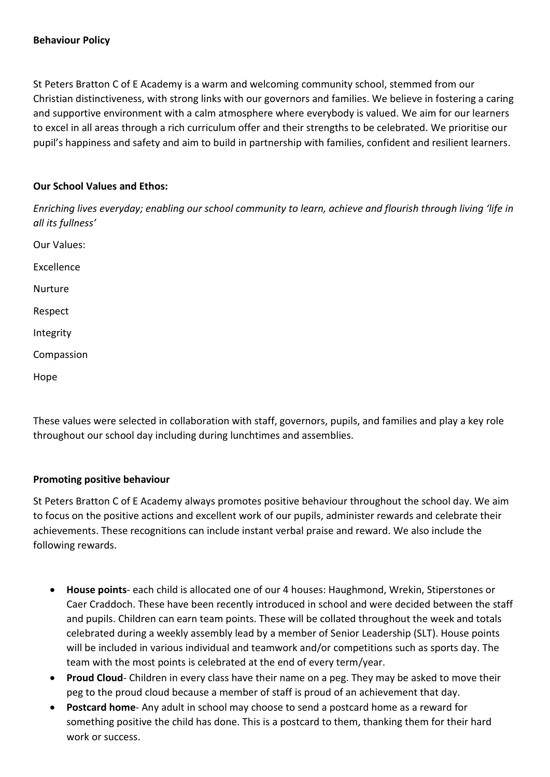#### **Behaviour Policy**

St Peters Bratton C of E Academy is a warm and welcoming community school, stemmed from our Christian distinctiveness, with strong links with our governors and families. We believe in fostering a caring and supportive environment with a calm atmosphere where everybody is valued. We aim for our learners to excel in all areas through a rich curriculum offer and their strengths to be celebrated. We prioritise our pupil's happiness and safety and aim to build in partnership with families, confident and resilient learners.

#### **Our School Values and Ethos:**

*Enriching lives everyday; enabling our school community to learn, achieve and flourish through living 'life in all its fullness'*

- Our Values: Excellence Nurture
- Respect
- Integrity
- Compassion
- Hope

These values were selected in collaboration with staff, governors, pupils, and families and play a key role throughout our school day including during lunchtimes and assemblies.

#### **Promoting positive behaviour**

St Peters Bratton C of E Academy always promotes positive behaviour throughout the school day. We aim to focus on the positive actions and excellent work of our pupils, administer rewards and celebrate their achievements. These recognitions can include instant verbal praise and reward. We also include the following rewards.

- **House points** each child is allocated one of our 4 houses: Haughmond, Wrekin, Stiperstones or Caer Craddoch. These have been recently introduced in school and were decided between the staff and pupils. Children can earn team points. These will be collated throughout the week and totals celebrated during a weekly assembly lead by a member of Senior Leadership (SLT). House points will be included in various individual and teamwork and/or competitions such as sports day. The team with the most points is celebrated at the end of every term/year.
- **Proud Cloud** Children in every class have their name on a peg. They may be asked to move their peg to the proud cloud because a member of staff is proud of an achievement that day.
- **Postcard home** Any adult in school may choose to send a postcard home as a reward for something positive the child has done. This is a postcard to them, thanking them for their hard work or success.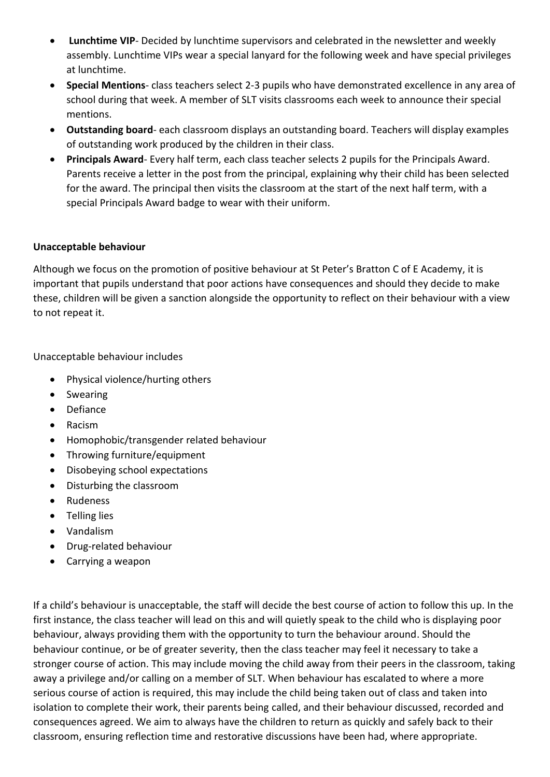- **Lunchtime VIP** Decided by lunchtime supervisors and celebrated in the newsletter and weekly assembly. Lunchtime VIPs wear a special lanyard for the following week and have special privileges at lunchtime.
- **Special Mentions** class teachers select 2-3 pupils who have demonstrated excellence in any area of school during that week. A member of SLT visits classrooms each week to announce their special mentions.
- **Outstanding board** each classroom displays an outstanding board. Teachers will display examples of outstanding work produced by the children in their class.
- **Principals Award** Every half term, each class teacher selects 2 pupils for the Principals Award. Parents receive a letter in the post from the principal, explaining why their child has been selected for the award. The principal then visits the classroom at the start of the next half term, with a special Principals Award badge to wear with their uniform.

## **Unacceptable behaviour**

Although we focus on the promotion of positive behaviour at St Peter's Bratton C of E Academy, it is important that pupils understand that poor actions have consequences and should they decide to make these, children will be given a sanction alongside the opportunity to reflect on their behaviour with a view to not repeat it.

Unacceptable behaviour includes

- Physical violence/hurting others
- Swearing
- Defiance
- Racism
- Homophobic/transgender related behaviour
- Throwing furniture/equipment
- Disobeying school expectations
- Disturbing the classroom
- Rudeness
- Telling lies
- Vandalism
- Drug-related behaviour
- Carrying a weapon

If a child's behaviour is unacceptable, the staff will decide the best course of action to follow this up. In the first instance, the class teacher will lead on this and will quietly speak to the child who is displaying poor behaviour, always providing them with the opportunity to turn the behaviour around. Should the behaviour continue, or be of greater severity, then the class teacher may feel it necessary to take a stronger course of action. This may include moving the child away from their peers in the classroom, taking away a privilege and/or calling on a member of SLT. When behaviour has escalated to where a more serious course of action is required, this may include the child being taken out of class and taken into isolation to complete their work, their parents being called, and their behaviour discussed, recorded and consequences agreed. We aim to always have the children to return as quickly and safely back to their classroom, ensuring reflection time and restorative discussions have been had, where appropriate.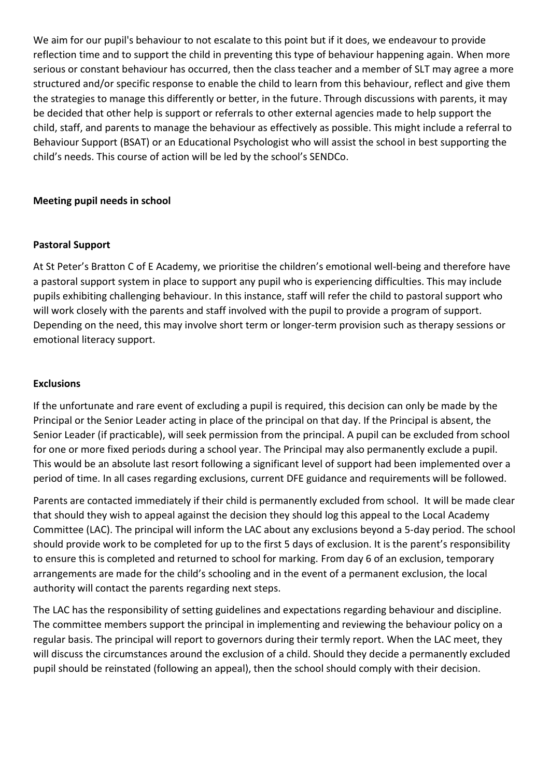We aim for our pupil's behaviour to not escalate to this point but if it does, we endeavour to provide reflection time and to support the child in preventing this type of behaviour happening again. When more serious or constant behaviour has occurred, then the class teacher and a member of SLT may agree a more structured and/or specific response to enable the child to learn from this behaviour, reflect and give them the strategies to manage this differently or better, in the future. Through discussions with parents, it may be decided that other help is support or referrals to other external agencies made to help support the child, staff, and parents to manage the behaviour as effectively as possible. This might include a referral to Behaviour Support (BSAT) or an Educational Psychologist who will assist the school in best supporting the child's needs. This course of action will be led by the school's SENDCo.

### **Meeting pupil needs in school**

#### **Pastoral Support**

At St Peter's Bratton C of E Academy, we prioritise the children's emotional well-being and therefore have a pastoral support system in place to support any pupil who is experiencing difficulties. This may include pupils exhibiting challenging behaviour. In this instance, staff will refer the child to pastoral support who will work closely with the parents and staff involved with the pupil to provide a program of support. Depending on the need, this may involve short term or longer-term provision such as therapy sessions or emotional literacy support.

#### **Exclusions**

If the unfortunate and rare event of excluding a pupil is required, this decision can only be made by the Principal or the Senior Leader acting in place of the principal on that day. If the Principal is absent, the Senior Leader (if practicable), will seek permission from the principal. A pupil can be excluded from school for one or more fixed periods during a school year. The Principal may also permanently exclude a pupil. This would be an absolute last resort following a significant level of support had been implemented over a period of time. In all cases regarding exclusions, current DFE guidance and requirements will be followed.

Parents are contacted immediately if their child is permanently excluded from school. It will be made clear that should they wish to appeal against the decision they should log this appeal to the Local Academy Committee (LAC). The principal will inform the LAC about any exclusions beyond a 5-day period. The school should provide work to be completed for up to the first 5 days of exclusion. It is the parent's responsibility to ensure this is completed and returned to school for marking. From day 6 of an exclusion, temporary arrangements are made for the child's schooling and in the event of a permanent exclusion, the local authority will contact the parents regarding next steps.

The LAC has the responsibility of setting guidelines and expectations regarding behaviour and discipline. The committee members support the principal in implementing and reviewing the behaviour policy on a regular basis. The principal will report to governors during their termly report. When the LAC meet, they will discuss the circumstances around the exclusion of a child. Should they decide a permanently excluded pupil should be reinstated (following an appeal), then the school should comply with their decision.